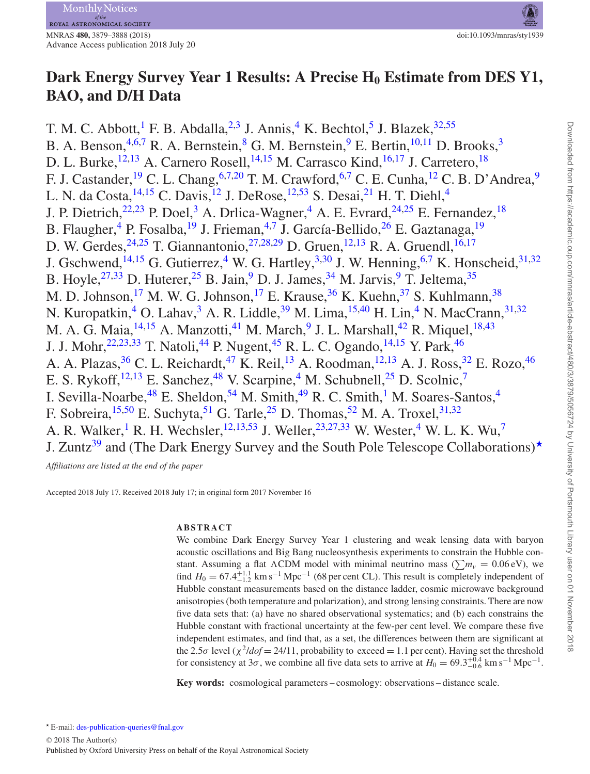# **Dark Energy Survey Year 1 Results: A Precise H<sub>0</sub> Estimate from DES Y1, BAO, and D/H Data**

T. M. C. Abbott,<sup>1</sup> F. B. Abdalla,<sup>[2](#page-8-1)[,3](#page-8-2)</sup> J. Annis,<sup>[4](#page-8-3)</sup> K. Bechtol,<sup>[5](#page-8-4)</sup> J. Blazek,<sup>32,[55](#page-9-0)</sup> B. A. Benson,  $4,6,7$  $4,6,7$  $4,6,7$  R. A. Bernstein, <sup>[8](#page-8-8)</sup> G. M. Bernstein, <sup>[9](#page-8-9)</sup> E. Bertin, <sup>[10](#page-8-10)[,11](#page-8-11)</sup> D. Brooks, <sup>[3](#page-8-2)</sup> D. L. Burke,<sup>12,[13](#page-8-13)</sup> A. Carnero Rosell,<sup>[14,](#page-8-14)[15](#page-8-15)</sup> M. Carrasco Kind,<sup>[16](#page-8-16)[,17](#page-8-17)</sup> J. Carretero,<sup>18</sup> F. J. Castander, <sup>19</sup> C. L. Chang, <sup>[6,](#page-8-6)[7](#page-8-7)[,20](#page-8-20)</sup> T. M. Crawford, <sup>[6](#page-8-6)[,7](#page-8-7)</sup> C. E. Cunha, <sup>[12](#page-8-12)</sup> C. B. D'Andrea, <sup>[9](#page-8-9)</sup> L. N. da Costa,  $^{14,15}$  $^{14,15}$  $^{14,15}$  $^{14,15}$  C. Davis,  $^{12}$  $^{12}$  $^{12}$  J. DeRose,  $^{12,53}$  $^{12,53}$  $^{12,53}$  S. Desai,  $^{21}$  $^{21}$  $^{21}$  H. T. Diehl,  $^{4}$  $^{4}$  $^{4}$ J. P. Dietrich, $^{22,23}$  $^{22,23}$  $^{22,23}$  $^{22,23}$  P. Doel, $^3$  $^3$  A. Drlica-Wagner, $^4$  A. E. Evrard, $^{24,25}$  $^{24,25}$  $^{24,25}$  $^{24,25}$  E. Fernandez,  $^{18}$ B. Flaugher, <sup>[4](#page-8-3)</sup> P. Fosalba, <sup>19</sup> J. Frieman, <sup>4[,7](#page-8-7)</sup> J. García-Bellido, <sup>[26](#page-8-26)</sup> E. Gaztanaga, <sup>[19](#page-8-19)</sup> D. W. Gerdes,  $^{24,25}$  $^{24,25}$  $^{24,25}$  $^{24,25}$  T. Giannantonio,  $^{27,28,29}$  $^{27,28,29}$  $^{27,28,29}$  $^{27,28,29}$  $^{27,28,29}$  D. Gruen,  $^{12,13}$  $^{12,13}$  $^{12,13}$  $^{12,13}$  R. A. Gruendl,  $^{16,17}$  $^{16,17}$  $^{16,17}$  $^{16,17}$ J. Gschwend,<sup>14,[15](#page-8-15)</sup> G. Gutierrez,<sup>4</sup> W. G. Hartley,<sup>[3,](#page-8-2)[30](#page-8-30)</sup> J. W. Henning,<sup>[6](#page-8-6)[,7](#page-8-7)</sup> K. Honscheid,<sup>31[,32](#page-8-5)</sup> B. Hoyle,  $^{27,33}$  $^{27,33}$  $^{27,33}$  $^{27,33}$  D. Huterer,  $^{25}$  $^{25}$  $^{25}$  B. Jain,  $^{9}$  $^{9}$  $^{9}$  D. J. James,  $^{34}$  M. Jarvis,  $^{9}$  T. Jeltema,  $^{35}$  $^{35}$  $^{35}$ M. D. Johnson,<sup>[17](#page-8-17)</sup> M. W. G. Johnson,<sup>17</sup> E. Krause,  $36$  K. Kuehn,  $37$  S. Kuhlmann,  $38$ N. Kuropatkin,<sup>[4](#page-8-3)</sup> O. Lahav,<sup>[3](#page-8-2)</sup> A. R. Liddle,<sup>[39](#page-8-38)</sup> M. Lima,<sup>[15](#page-8-15)[,40](#page-8-39)</sup> H. Lin,<sup>4</sup> N. MacCrann,<sup>31,[32](#page-8-5)</sup> M. A. G. Maia,  $^{14,15}$  $^{14,15}$  $^{14,15}$  A. Manzotti,  $^{41}$  $^{41}$  $^{41}$  M. March,  $^{9}$  $^{9}$  $^{9}$  J. L. Marshall,  $^{42}$  $^{42}$  $^{42}$  R. Miquel,  $^{18,43}$  $^{18,43}$  $^{18,43}$  $^{18,43}$ J. J. Mohr, <sup>[22,](#page-8-22) [23,](#page-8-23) [33](#page-8-32)</sup> T. Natoli, <sup>[44](#page-8-43)</sup> P. Nugent, <sup>[45](#page-8-44)</sup> R. L. C. Ogando, <sup>14, [15](#page-8-15)</sup> Y. Park, <sup>[46](#page-8-45)</sup> A. A. Plazas, <sup>36</sup> C. L. Reichardt, <sup>[47](#page-8-46)</sup> K. Reil, <sup>[13](#page-8-13)</sup> A. Roodman, <sup>[12,](#page-8-12) 13</sup> A. J. Ross, <sup>[32](#page-8-5)</sup> E. Rozo, <sup>[46](#page-8-45)</sup> E. S. Rykoff,<sup>[12](#page-8-12)[,13](#page-8-13)</sup> E. Sanchez,<sup>48</sup> V. Scarpine,<sup>4</sup> M. Schubnell,<sup>[25](#page-8-25)</sup> D. Scolnic,<sup>[7](#page-8-7)</sup> I. Sevilla-Noarbe,  $48$  E. Sheldon,  $54$  M. Smith,  $49$  R. C. Smith, <sup>[1](#page-8-0)</sup> M. Soares-Santos,  $4$ F. Sobreira,<sup>[15](#page-8-15)[,50](#page-9-4)</sup> E. Suchyta,<sup>51</sup> G. Tarle,<sup>[25](#page-8-25)</sup> D. Thomas,<sup>[52](#page-9-6)</sup> M. A. Troxel,<sup>[31](#page-8-31)[,32](#page-8-5)</sup> A. R. Walker,<sup>[1](#page-8-0)</sup> R. H. Wechsler,<sup>12[,13](#page-8-13)[,53](#page-9-1)</sup> J. Weller,<sup>[23,](#page-8-23)[27](#page-8-27)[,33](#page-8-32)</sup> W. Wester,<sup>[4](#page-8-3)</sup> W. L. K. Wu,<sup>[7](#page-8-7)</sup> J. Zuntz<sup>[39](#page-8-38)</sup> and (The Dark Energy Survey and the South Pole Telescope Collaborations)<sup>\*</sup>

*Affiliations are listed at the end of the paper*

Accepted 2018 July 17. Received 2018 July 17; in original form 2017 November 16

# **ABSTRACT**

We combine Dark Energy Survey Year 1 clustering and weak lensing data with baryon acoustic oscillations and Big Bang nucleosynthesis experiments to constrain the Hubble constant. Assuming a flat *ACDM* model with minimal neutrino mass ( $\sum m_\nu = 0.06 \text{ eV}$ ), we find  $H_0 = 67.4_{-1.2}^{+1.1}$  km s<sup>-1</sup> Mpc<sup>-1</sup> (68 per cent CL). This result is completely independent of Hubble constant measurements based on the distance ladder, cosmic microwave background anisotropies (both temperature and polarization), and strong lensing constraints. There are now five data sets that: (a) have no shared observational systematics; and (b) each constrains the Hubble constant with fractional uncertainty at the few-per cent level. We compare these five independent estimates, and find that, as a set, the differences between them are significant at the 2.5*σ* level ( $\chi^2$ *ldof* = 24/11, probability to exceed = 1.1 per cent). Having set the threshold for consistency at 3 $\sigma$ , we combine all five data sets to arrive at  $H_0 = 69.3^{+0.4}_{-0.6}$  km s<sup>-1</sup> Mpc<sup>-1</sup>.

<span id="page-0-0"></span>**Key words:** cosmological parameters – cosmology: observations – distance scale.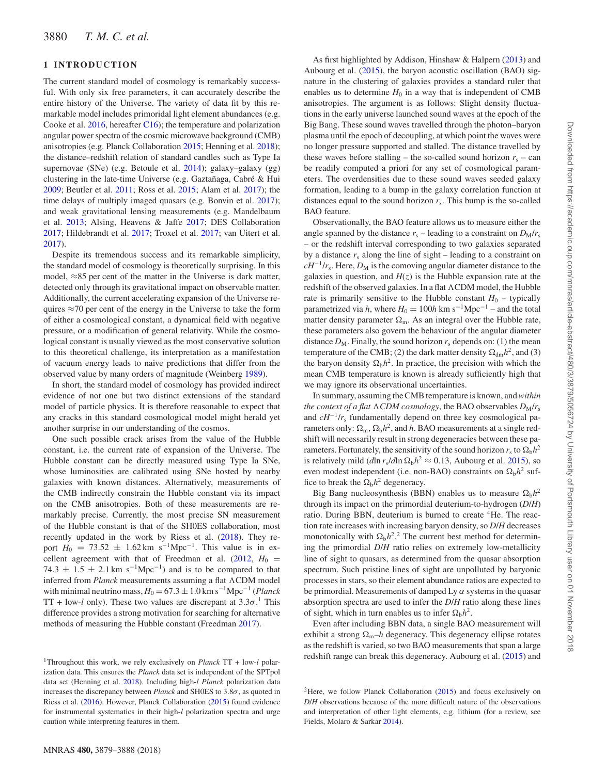## **1 INTRODUCTION**

The current standard model of cosmology is remarkably successful. With only six free parameters, it can accurately describe the entire history of the Universe. The variety of data fit by this remarkable model includes primoridal light element abundances (e.g. Cooke et al. [2016,](#page-7-0) hereafter [C16\)](#page-7-0); the temperature and polarization angular power spectra of the cosmic microwave background (CMB) anisotropies (e.g. Planck Collaboration [2015;](#page-7-1) Henning et al. [2018\)](#page-7-2); the distance–redshift relation of standard candles such as Type Ia supernovae (SNe) (e.g. Betoule et al. [2014\)](#page-7-3); galaxy–galaxy (gg) clustering in the late-time Universe (e.g. Gaztañaga, Cabré & Hui [2009;](#page-7-4) Beutler et al. [2011;](#page-7-5) Ross et al. [2015;](#page-7-6) Alam et al. [2017\)](#page-7-7); the time delays of multiply imaged quasars (e.g. Bonvin et al. [2017\)](#page-7-8); and weak gravitational lensing measurements (e.g. Mandelbaum et al. [2013;](#page-7-9) Alsing, Heavens & Jaffe [2017;](#page-7-10) DES Collaboration [2017;](#page-7-11) Hildebrandt et al. [2017;](#page-7-12) Troxel et al. [2017;](#page-7-13) van Uitert et al. [2017\)](#page-7-14).

Despite its tremendous success and its remarkable simplicity, the standard model of cosmology is theoretically surprising. In this model, ≈85 per cent of the matter in the Universe is dark matter, detected only through its gravitational impact on observable matter. Additionally, the current accelerating expansion of the Universe requires  $\approx$ 70 per cent of the energy in the Universe to take the form of either a cosmological constant, a dynamical field with negative pressure, or a modification of general relativity. While the cosmological constant is usually viewed as the most conservative solution to this theoretical challenge, its interpretation as a manifestation of vacuum energy leads to naive predictions that differ from the observed value by many orders of magnitude (Weinberg [1989\)](#page-7-15).

In short, the standard model of cosmology has provided indirect evidence of not one but two distinct extensions of the standard model of particle physics. It is therefore reasonable to expect that any cracks in this standard cosmological model might herald yet another surprise in our understanding of the cosmos.

One such possible crack arises from the value of the Hubble constant, i.e. the current rate of expansion of the Universe. The Hubble constant can be directly measured using Type Ia SNe, whose luminosities are calibrated using SNe hosted by nearby galaxies with known distances. Alternatively, measurements of the CMB indirectly constrain the Hubble constant via its impact on the CMB anisotropies. Both of these measurements are remarkably precise. Currently, the most precise SN measurement of the Hubble constant is that of the SH0ES collaboration, most recently updated in the work by Riess et al. [\(2018\)](#page-7-16). They report  $H_0 = 73.52 \pm 1.62 \text{ km s}^{-1} \text{Mpc}^{-1}$ . This value is in excellent agreement with that of Freedman et al.  $(2012, H_0 =$  $(2012, H_0 =$  $74.3 \pm 1.5 \pm 2.1 \,\mathrm{km \ s^{-1} Mpc^{-1}}$  and is to be compared to that inferred from *Planck* measurements assuming a flat  $\Lambda$ CDM model with minimal neutrino mass,  $H_0 = 67.3 \pm 1.0$  km s<sup>-1</sup>Mpc<sup>-1</sup> (*Planck* TT + low-*l* only). These two values are discrepant at  $3.3\sigma$ .<sup>1</sup> This difference provides a strong motivation for searching for alternative methods of measuring the Hubble constant (Freedman [2017\)](#page-7-18).

As first highlighted by Addison, Hinshaw & Halpern [\(2013\)](#page-7-20) and Aubourg et al. [\(2015\)](#page-7-21), the baryon acoustic oscillation (BAO) signature in the clustering of galaxies provides a standard ruler that enables us to determine  $H_0$  in a way that is independent of CMB anisotropies. The argument is as follows: Slight density fluctuations in the early universe launched sound waves at the epoch of the Big Bang. These sound waves travelled through the photon–baryon plasma until the epoch of decoupling, at which point the waves were no longer pressure supported and stalled. The distance travelled by these waves before stalling – the so-called sound horizon  $r_s$  – can be readily computed a priori for any set of cosmological parameters. The overdensities due to these sound waves seeded galaxy formation, leading to a bump in the galaxy correlation function at distances equal to the sound horizon  $r<sub>s</sub>$ . This bump is the so-called BAO feature.

Observationally, the BAO feature allows us to measure either the angle spanned by the distance  $r_s$  – leading to a constraint on  $D_M/r_s$ – or the redshift interval corresponding to two galaxies separated by a distance  $r_s$  along the line of sight – leading to a constraint on  $cH^{-1}/r_s$ . Here,  $D_M$  is the comoving angular diameter distance to the galaxies in question, and  $H(z)$  is the Hubble expansion rate at the redshift of the observed galaxies. In a flat  $\Lambda$ CDM model, the Hubble rate is primarily sensitive to the Hubble constant  $H_0$  – typically parametrized via *h*, where  $H_0 = 100h$  km s<sup>-1</sup>Mpc<sup>-1</sup> – and the total matter density parameter  $\Omega_{\rm m}$ . As an integral over the Hubble rate, these parameters also govern the behaviour of the angular diameter distance  $D_M$ . Finally, the sound horizon  $r_s$  depends on: (1) the mean temperature of the CMB; (2) the dark matter density  $\Omega_{dm}h^2$ , and (3) the baryon density  $\Omega_b h^2$ . In practice, the precision with which the mean CMB temperature is known is already sufficiently high that we may ignore its observational uncertainties.

In summary, assuming the CMB temperature is known, and*within the context of a flat*  $\Lambda$ *CDM cosmology*, the BAO observables  $D_M/r_s$ and  $cH^{-1}/r_s$  fundamentally depend on three key cosmological parameters only:  $\Omega_{\rm m}$ ,  $\Omega_{\rm b}h^2$ , and *h*. BAO measurements at a single redshift will necessarily result in strong degeneracies between these parameters. Fortunately, the sensitivity of the sound horizon  $r_s$  to  $\Omega_b h^2$ is relatively mild (*dln r<sub>s</sub>*/*dln*  $\Omega_b h^2 \approx 0.13$ , Aubourg et al. [2015\)](#page-7-21), so even modest independent (i.e. non-BAO) constraints on  $\Omega_b h^2$  suffice to break the  $\Omega_h h^2$  degeneracy.

Big Bang nucleosynthesis (BBN) enables us to measure  $\Omega_b h^2$ through its impact on the primordial deuterium-to-hydrogen (*D*/*H*) ratio. During BBN, deuterium is burned to create <sup>4</sup>He. The reaction rate increases with increasing baryon density, so *D*/*H* decreases monotonically with  $\Omega_b h^2$ <sup>2</sup>. The current best method for determining the primordial *D*/*H* ratio relies on extremely low-metallicity line of sight to quasars, as determined from the quasar absorption spectrum. Such pristine lines of sight are unpolluted by baryonic processes in stars, so their element abundance ratios are expected to be primordial. Measurements of damped Ly  $\alpha$  systems in the quasar absorption spectra are used to infer the *D*/*H* ratio along these lines of sight, which in turn enables us to infer  $\Omega_b h^2$ .

Even after including BBN data, a single BAO measurement will exhibit a strong  $\Omega_{\rm m}$ –*h* degeneracy. This degeneracy ellipse rotates as the redshift is varied, so two BAO measurements that span a large redshift range can break this degeneracy. Aubourg et al. [\(2015\)](#page-7-21) and

<sup>1</sup>Throughout this work, we rely exclusively on *Planck* TT + low-*l* polarization data. This ensures the *Planck* data set is independent of the SPTpol data set (Henning et al. [2018\)](#page-7-2). Including high-*l Planck* polarization data increases the discrepancy between *Planck* and SH0ES to  $3.8\sigma$ , as quoted in Riess et al. [\(2016\)](#page-7-19). However, Planck Collaboration [\(2015\)](#page-7-1) found evidence for instrumental systematics in their high-*l* polarization spectra and urge caution while interpreting features in them.

<sup>&</sup>lt;sup>2</sup>Here, we follow Planck Collaboration  $(2015)$  and focus exclusively on *D*/*H* observations because of the more difficult nature of the observations and interpretation of other light elements, e.g. lithium (for a review, see Fields, Molaro & Sarkar [2014\)](#page-7-22).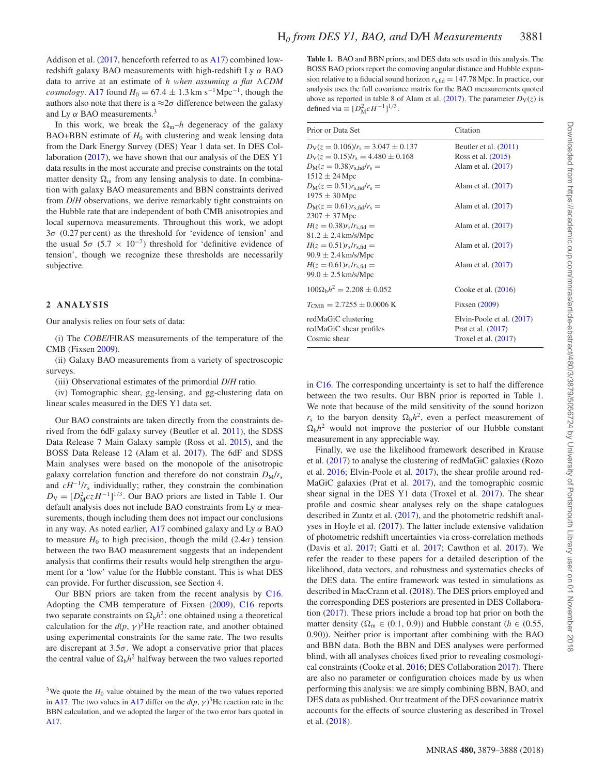Addison et al. [\(2017,](#page-7-23) henceforth referred to as [A17\)](#page-7-23) combined lowredshift galaxy BAO measurements with high-redshift Ly *α* BAO data to arrive at an estimate of *h when assuming a flat -CDM cosmology*. [A17](#page-7-23) found  $H_0 = 67.4 \pm 1.3$  km s<sup>-1</sup>Mpc<sup>-1</sup>, though the authors also note that there is a  $\approx 2\sigma$  difference between the galaxy and Ly  $\alpha$  BAO measurements.<sup>3</sup>

In this work, we break the  $\Omega_m-h$  degeneracy of the galaxy BAO+BBN estimate of  $H_0$  with clustering and weak lensing data from the Dark Energy Survey (DES) Year 1 data set. In DES Collaboration [\(2017\)](#page-7-11), we have shown that our analysis of the DES Y1 data results in the most accurate and precise constraints on the total matter density  $\Omega_{\rm m}$  from any lensing analysis to date. In combination with galaxy BAO measurements and BBN constraints derived from *D*/*H* observations, we derive remarkably tight constraints on the Hubble rate that are independent of both CMB anisotropies and local supernova measurements. Throughout this work, we adopt 3*σ* (0.27 per cent) as the threshold for 'evidence of tension' and the usual  $5\sigma$  ( $5.7 \times 10^{-7}$ ) threshold for 'definitive evidence of tension', though we recognize these thresholds are necessarily subjective.

#### **2 ANALYSIS**

Our analysis relies on four sets of data:

(i) The *COBE*/FIRAS measurements of the temperature of the CMB (Fixsen [2009\)](#page-7-24).

(ii) Galaxy BAO measurements from a variety of spectroscopic surveys.

(iii) Observational estimates of the primordial *D*/*H* ratio.

(iv) Tomographic shear, gg-lensing, and gg-clustering data on linear scales measured in the DES Y1 data set.

Our BAO constraints are taken directly from the constraints derived from the 6dF galaxy survey (Beutler et al. [2011\)](#page-7-5), the SDSS Data Release 7 Main Galaxy sample (Ross et al. [2015\)](#page-7-6), and the BOSS Data Release 12 (Alam et al. [2017\)](#page-7-7). The 6dF and SDSS Main analyses were based on the monopole of the anisotropic galaxy correlation function and therefore do not constrain  $D_M/r_s$ and *cH*−1/*r*<sup>s</sup> individually; rather, they constrain the combination  $D_V = [D_M^2 c z H^{-1}]^{1/3}$ . Our BAO priors are listed in Table [1.](#page-2-0) Our default analysis does not include BAO constraints from Ly *α* measurements, though including them does not impact our conclusions in any way. As noted earlier, [A17](#page-7-23) combined galaxy and Ly *α* BAO to measure  $H_0$  to high precision, though the mild (2.4 $\sigma$ ) tension between the two BAO measurement suggests that an independent analysis that confirms their results would help strengthen the argument for a 'low' value for the Hubble constant. This is what DES can provide. For further discussion, see Section 4.

Our BBN priors are taken from the recent analysis by [C16.](#page-7-0) Adopting the CMB temperature of Fixsen [\(2009\)](#page-7-24), [C16](#page-7-0) reports two separate constraints on  $\Omega_b h^2$ : one obtained using a theoretical calculation for the  $d(p, \gamma)^3$ He reaction rate, and another obtained using experimental constraints for the same rate. The two results are discrepant at  $3.5\sigma$ . We adopt a conservative prior that places the central value of  $\Omega_b h^2$  halfway between the two values reported <span id="page-2-0"></span>**Table 1.** BAO and BBN priors, and DES data sets used in this analysis. The BOSS BAO priors report the comoving angular distance and Hubble expansion relative to a fiducial sound horizon  $r_{s, fid} = 147.78$  Mpc. In practice, our analysis uses the full covariance matrix for the BAO measurements quoted above as reported in table 8 of Alam et al. [\(2017\)](#page-7-7). The parameter  $D_V(z)$  is defined via  $\equiv [D_{\rm M}^2 c H^{-1}]^{1/3}$ .

| Prior or Data Set                                              | Citation                                                                  |
|----------------------------------------------------------------|---------------------------------------------------------------------------|
| $D_V(z = 0.106)/r_s = 3.047 \pm 0.137$                         | Beutler et al. $(2011)$                                                   |
| $D_V(z=0.15)/r_s = 4.480 \pm 0.168$                            | Ross et al. (2015)                                                        |
| $D_M(z = 0.38)r_{s,fid}/r_s =$                                 | Alam et al. (2017)                                                        |
| $1512 \pm 24$ Mpc                                              |                                                                           |
| $D_M(z = 0.51)r_{s,fid}/r_s =$                                 | Alam et al. (2017)                                                        |
| $1975 \pm 30$ Mpc                                              |                                                                           |
| $D_M(z = 0.61)r_{s,fid}/r_s =$                                 | Alam et al. (2017)                                                        |
| $2307 \pm 37$ Mpc                                              |                                                                           |
| $H(z = 0.38)r_s/r_{s, \text{fid}} =$                           | Alam et al. (2017)                                                        |
| $81.2 \pm 2.4 \,\mathrm{km/s/Mpc}$                             |                                                                           |
| $H(z = 0.51)r_s/r_{s,fid} =$                                   | Alam et al. (2017)                                                        |
| $90.9 \pm 2.4 \,\mathrm{km/s/Mpc}$                             |                                                                           |
| $H(z = 0.61)r_s/r_{s, fid} =$                                  | Alam et al. (2017)                                                        |
| $99.0 \pm 2.5$ km/s/Mpc                                        |                                                                           |
| $100\Omega_{\rm b}h^2 = 2.208 \pm 0.052$                       | Cooke et al. $(2016)$                                                     |
| $T_{\text{CMB}} = 2.7255 \pm 0.0006 \text{ K}$                 | Fixsen $(2009)$                                                           |
| redMaGiC clustering<br>redMaGiC shear profiles<br>Cosmic shear | Elvin-Poole et al. (2017)<br>Prat et al. (2017)<br>Troxel et al. $(2017)$ |

in [C16.](#page-7-0) The corresponding uncertainty is set to half the difference between the two results. Our BBN prior is reported in Table [1.](#page-2-0) We note that because of the mild sensitivity of the sound horizon  $r_s$  to the baryon density  $\Omega_b h^2$ , even a perfect measurement of  $\Omega_h h^2$  would not improve the posterior of our Hubble constant measurement in any appreciable way.

Finally, we use the likelihood framework described in Krause et al. [\(2017\)](#page-7-27) to analyse the clustering of redMaGiC galaxies (Rozo et al. [2016;](#page-7-28) Elvin-Poole et al. [2017\)](#page-7-25), the shear profile around red-MaGiC galaxies (Prat et al. [2017\)](#page-7-26), and the tomographic cosmic shear signal in the DES Y1 data (Troxel et al. [2017\)](#page-7-13). The shear profile and cosmic shear analyses rely on the shape catalogues described in Zuntz et al. [\(2017\)](#page-7-29), and the photometric redshift analyses in Hoyle et al. [\(2017\)](#page-7-30). The latter include extensive validation of photometric redshift uncertainties via cross-correlation methods (Davis et al. [2017;](#page-7-31) Gatti et al. [2017;](#page-7-32) Cawthon et al. [2017\)](#page-7-33). We refer the reader to these papers for a detailed description of the likelihood, data vectors, and robustness and systematics checks of the DES data. The entire framework was tested in simulations as described in MacCrann et al. [\(2018\)](#page-7-34). The DES priors employed and the corresponding DES posteriors are presented in DES Collaboration [\(2017\)](#page-7-11). These priors include a broad top hat prior on both the matter density ( $\Omega_{\rm m} \in (0.1, 0.9)$ ) and Hubble constant ( $h \in (0.55, 0.5)$ 0.90)). Neither prior is important after combining with the BAO and BBN data. Both the BBN and DES analyses were performed blind, with all analyses choices fixed prior to revealing cosmological constraints (Cooke et al. [2016;](#page-7-0) DES Collaboration [2017\)](#page-7-11). There are also no parameter or configuration choices made by us when performing this analysis: we are simply combining BBN, BAO, and DES data as published. Our treatment of the DES covariance matrix accounts for the effects of source clustering as described in Troxel et al. [\(2018\)](#page-7-35).

<sup>&</sup>lt;sup>3</sup>We quote the  $H_0$  value obtained by the mean of the two values reported in [A17.](#page-7-23) The two values in [A17](#page-7-23) differ on the  $d(p, \gamma)^3$  He reaction rate in the BBN calculation, and we adopted the larger of the two error bars quoted in [A17.](#page-7-23)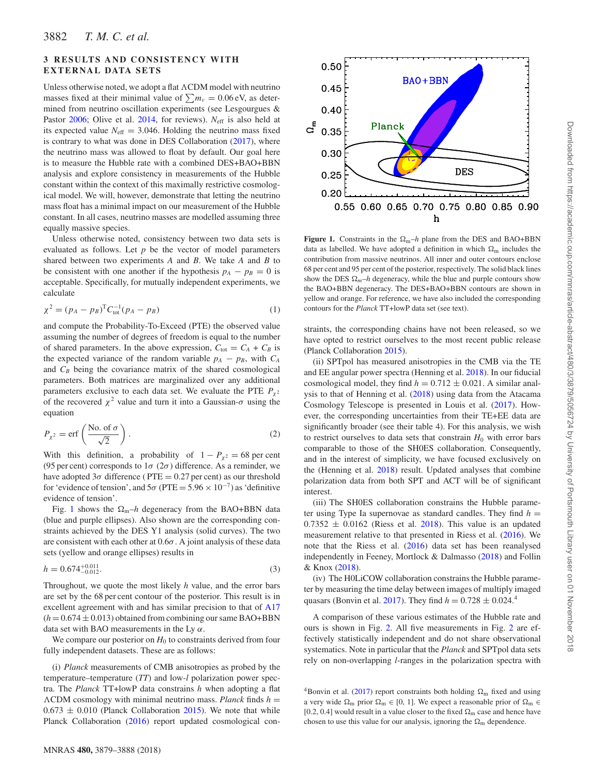## **3 RESULTS AND CONSISTENCY WITH EXTERNAL DATA SETS**

Unless otherwise noted, we adopt a flat  $\Lambda$ CDM model with neutrino masses fixed at their minimal value of  $\sum m_\nu = 0.06 \text{ eV}$ , as determined from neutrino oscillation experiments (see Lesgourgues & Pastor [2006;](#page-7-36) Olive et al. [2014,](#page-7-37) for reviews).  $N_{\text{eff}}$  is also held at its expected value  $N_{\text{eff}} = 3.046$ . Holding the neutrino mass fixed is contrary to what was done in DES Collaboration [\(2017\)](#page-7-11), where the neutrino mass was allowed to float by default. Our goal here is to measure the Hubble rate with a combined DES+BAO+BBN analysis and explore consistency in measurements of the Hubble constant within the context of this maximally restrictive cosmological model. We will, however, demonstrate that letting the neutrino mass float has a minimal impact on our measurement of the Hubble constant. In all cases, neutrino masses are modelled assuming three equally massive species.

Unless otherwise noted, consistency between two data sets is evaluated as follows. Let *p* be the vector of model parameters shared between two experiments *A* and *B*. We take *A* and *B* to be consistent with one another if the hypothesis  $p_A - p_B = 0$  is acceptable. Specifically, for mutually independent experiments, we calculate

$$
\chi^2 = (p_A - p_B)^{\mathrm{T}} C_{\text{tot}}^{-1} (p_A - p_B) \tag{1}
$$

and compute the Probability-To-Exceed (PTE) the observed value assuming the number of degrees of freedom is equal to the number of shared parameters. In the above expression,  $C_{\text{tot}} = C_A + C_B$  is the expected variance of the random variable  $p_A - p_B$ , with  $C_A$ and  $C_B$  being the covariance matrix of the shared cosmological parameters. Both matrices are marginalized over any additional parameters exclusive to each data set. We evaluate the PTE  $P_{\chi^2}$ of the recovered  $\chi^2$  value and turn it into a Gaussian- $\sigma$  using the equation

$$
P_{\chi^2} = \text{erf}\left(\frac{\text{No. of } \sigma}{\sqrt{2}}\right). \tag{2}
$$

With this definition, a probability of  $1 - P_{\chi^2} = 68$  per cent (95 per cent) corresponds to  $1\sigma$  ( $2\sigma$ ) difference. As a reminder, we have adopted  $3\sigma$  difference (PTE = 0.27 per cent) as our threshold for 'evidence of tension', and  $5\sigma$  (PTE =  $5.96 \times 10^{-7}$ ) as 'definitive evidence of tension'.

Fig. [1](#page-3-0) shows the  $\Omega_m-h$  degeneracy from the BAO+BBN data (blue and purple ellipses). Also shown are the corresponding constraints achieved by the DES Y1 analysis (solid curves). The two are consistent with each other at  $0.6\sigma$ . A joint analysis of these data sets (yellow and orange ellipses) results in

$$
h = 0.674^{+0.011}_{-0.012}.\tag{3}
$$

Throughout, we quote the most likely *h* value, and the error bars are set by the 68 per cent contour of the posterior. This result is in excellent agreement with and has similar precision to that of [A17](#page-7-23)  $(h = 0.674 \pm 0.013)$  obtained from combining our same BAO+BBN data set with BAO measurements in the Ly *α*.

We compare our posterior on  $H_0$  to constraints derived from four fully independent datasets. These are as follows:

(i) *Planck* measurements of CMB anisotropies as probed by the temperature–temperature (*TT*) and low-*l* polarization power spectra. The *Planck* TT+lowP data constrains *h* when adopting a flat  $\Lambda$ CDM cosmology with minimal neutrino mass. *Planck* finds  $h =$  $0.673 \pm 0.010$  (Planck Collaboration [2015\)](#page-7-1). We note that while Planck Collaboration [\(2016\)](#page-7-38) report updated cosmological con-

<span id="page-3-0"></span>

**Figure 1.** Constraints in the  $\Omega_{\rm m}-h$  plane from the DES and BAO+BBN data as labelled. We have adopted a definition in which  $\Omega_{\rm m}$  includes the contribution from massive neutrinos. All inner and outer contours enclose 68 per cent and 95 per cent of the posterior, respectively. The solid black lines show the DES  $\Omega_m$ –*h* degeneracy, while the blue and purple contours show the BAO+BBN degeneracy. The DES+BAO+BBN contours are shown in yellow and orange. For reference, we have also included the corresponding contours for the *Planck* TT+lowP data set (see text).

straints, the corresponding chains have not been released, so we have opted to restrict ourselves to the most recent public release (Planck Collaboration [2015\)](#page-7-1).

(ii) SPTpol has measured anisotropies in the CMB via the TE and EE angular power spectra (Henning et al. [2018\)](#page-7-2). In our fiducial cosmological model, they find  $h = 0.712 \pm 0.021$ . A similar analysis to that of Henning et al. [\(2018\)](#page-7-2) using data from the Atacama Cosmology Telescope is presented in Louis et al. [\(2017\)](#page-7-39). However, the corresponding uncertainties from their TE+EE data are significantly broader (see their table 4). For this analysis, we wish to restrict ourselves to data sets that constrain  $H_0$  with error bars comparable to those of the SH0ES collaboration. Consequently, and in the interest of simplicity, we have focused exclusively on the (Henning et al. [2018\)](#page-7-2) result. Updated analyses that combine polarization data from both SPT and ACT will be of significant interest.

(iii) The SH0ES collaboration constrains the Hubble parameter using Type Ia supernovae as standard candles. They find  $h =$  $0.7352 \pm 0.0162$  (Riess et al. [2018\)](#page-7-16). This value is an updated measurement relative to that presented in Riess et al. [\(2016\)](#page-7-19). We note that the Riess et al. [\(2016\)](#page-7-19) data set has been reanalysed independently in Feeney, Mortlock & Dalmasso [\(2018\)](#page-7-40) and Follin & Knox [\(2018\)](#page-7-41).

(iv) The H0LiCOW collaboration constrains the Hubble parameter by measuring the time delay between images of multiply imaged quasars (Bonvin et al. [2017\)](#page-7-8). They find  $h = 0.728 \pm 0.024$ .<sup>4</sup>

A comparison of these various estimates of the Hubble rate and ours is shown in Fig. [2.](#page-4-0) All five measurements in Fig. [2](#page-4-0) are effectively statistically independent and do not share observational systematics. Note in particular that the *Planck* and SPTpol data sets rely on non-overlapping *l*-ranges in the polarization spectra with

<sup>&</sup>lt;sup>4</sup>Bonvin et al. [\(2017\)](#page-7-8) report constraints both holding  $\Omega_{\rm m}$  fixed and using a very wide  $\Omega_m$  prior  $\Omega_m \in [0, 1]$ . We expect a reasonable prior of  $\Omega_m \in$ [0.2, 0.4] would result in a value closer to the fixed  $\Omega_{\rm m}$  case and hence have chosen to use this value for our analysis, ignoring the  $\Omega_{\rm m}$  dependence.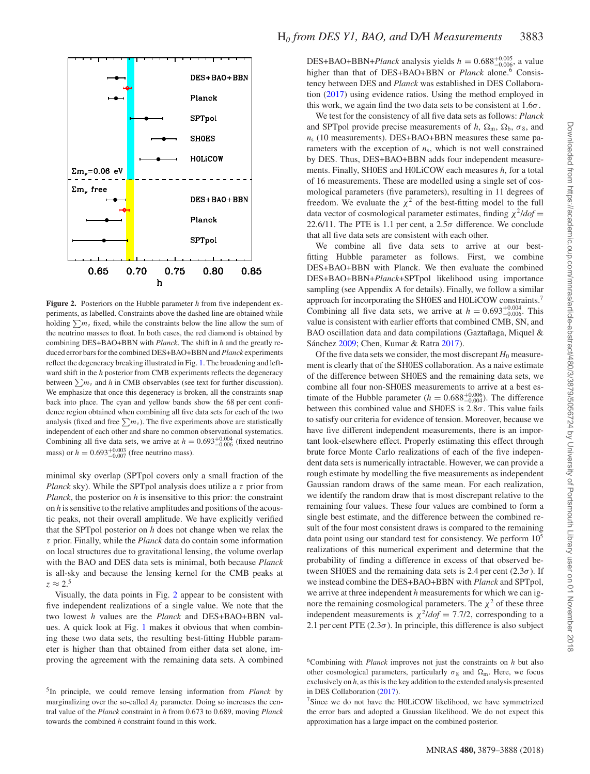<span id="page-4-0"></span>

**Figure 2.** Posteriors on the Hubble parameter *h* from five independent experiments, as labelled. Constraints above the dashed line are obtained while holding  $\sum m_\nu$  fixed, while the constraints below the line allow the sum of the neutrino masses to float. In both cases, the red diamond is obtained by combining DES+BAO+BBN with *Planck*. The shift in *h* and the greatly reduced error bars for the combined DES+BAO+BBN and *Planck* experiments reflect the degeneracy breaking illustrated in Fig. [1.](#page-3-0) The broadening and leftward shift in the *h* posterior from CMB experiments reflects the degeneracy between  $\sum m_\nu$  and *h* in CMB observables (see text for further discussion). We emphasize that once this degeneracy is broken, all the constraints snap back into place. The cyan and yellow bands show the 68 per cent confidence region obtained when combining all five data sets for each of the two analysis (fixed and free  $\sum m_\nu$ ). The five experiments above are statistically independent of each other and share no common observational systematics. Combining all five data sets, we arrive at  $h = 0.693_{-0.006}^{+0.004}$  (fixed neutrino mass) or  $h = 0.693_{-0.007}^{+0.003}$  (free neutrino mass).

minimal sky overlap (SPTpol covers only a small fraction of the *Planck* sky). While the SPTpol analysis does utilize a *τ* prior from *Planck*, the posterior on *h* is insensitive to this prior: the constraint on *h* is sensitive to the relative amplitudes and positions of the acoustic peaks, not their overall amplitude. We have explicitly verified that the SPTpol posterior on *h* does not change when we relax the *τ* prior. Finally, while the *Planck* data do contain some information on local structures due to gravitational lensing, the volume overlap with the BAO and DES data sets is minimal, both because *Planck* is all-sky and because the lensing kernel for the CMB peaks at  $z \approx 2.5$ 

Visually, the data points in Fig. [2](#page-4-0) appear to be consistent with five independent realizations of a single value. We note that the two lowest *h* values are the *Planck* and DES+BAO+BBN values. A quick look at Fig. [1](#page-3-0) makes it obvious that when combining these two data sets, the resulting best-fitting Hubble parameter is higher than that obtained from either data set alone, improving the agreement with the remaining data sets. A combined DES+BAO+BBN+*Planck* analysis yields  $h = 0.688^{+0.005}_{-0.006}$ , a value higher than that of DES+BAO+BBN or *Planck* alone.<sup>6</sup> Consistency between DES and *Planck* was established in DES Collaboration [\(2017\)](#page-7-11) using evidence ratios. Using the method employed in this work, we again find the two data sets to be consistent at 1.6*σ*.

We test for the consistency of all five data sets as follows: *Planck* and SPTpol provide precise measurements of *h*,  $\Omega_{\rm m}$ ,  $\Omega_{\rm b}$ ,  $\sigma_8$ , and *n*<sup>s</sup> (10 measurements). DES+BAO+BBN measures these same parameters with the exception of  $n<sub>s</sub>$ , which is not well constrained by DES. Thus, DES+BAO+BBN adds four independent measurements. Finally, SH0ES and H0LiCOW each measures *h*, for a total of 16 measurements. These are modelled using a single set of cosmological parameters (five parameters), resulting in 11 degrees of freedom. We evaluate the  $\chi^2$  of the best-fitting model to the full data vector of cosmological parameter estimates, finding *<sup>χ</sup>*2/*dof* <sup>=</sup> 22.6/11. The PTE is 1.1 per cent, a  $2.5\sigma$  difference. We conclude that all five data sets are consistent with each other.

We combine all five data sets to arrive at our bestfitting Hubble parameter as follows. First, we combine DES+BAO+BBN with Planck. We then evaluate the combined DES+BAO+BBN+*Planck*+SPTpol likelihood using importance sampling (see Appendix A for details). Finally, we follow a similar approach for incorporating the SH0ES and H0LiCOW constraints.<sup>7</sup> Combining all five data sets, we arrive at  $h = 0.693_{-0.006}^{+0.004}$ . This value is consistent with earlier efforts that combined CMB, SN, and BAO oscillation data and data compilations (Gaztañaga, Miquel & Sánchez [2009;](#page-7-42) Chen, Kumar & Ratra [2017\)](#page-7-43).

Of the five data sets we consider, the most discrepant  $H_0$  measurement is clearly that of the SH0ES collaboration. As a naive estimate of the difference between SH0ES and the remaining data sets, we combine all four non-SH0ES measurements to arrive at a best estimate of the Hubble parameter  $(h = 0.688^{+0.006}_{-0.004})$ . The difference between this combined value and SH0ES is 2.8*σ*. This value fails to satisfy our criteria for evidence of tension. Moreover, because we have five different independent measurements, there is an important look-elsewhere effect. Properly estimating this effect through brute force Monte Carlo realizations of each of the five independent data sets is numerically intractable. However, we can provide a rough estimate by modelling the five measurements as independent Gaussian random draws of the same mean. For each realization, we identify the random draw that is most discrepant relative to the remaining four values. These four values are combined to form a single best estimate, and the difference between the combined result of the four most consistent draws is compared to the remaining data point using our standard test for consistency. We perform 105 realizations of this numerical experiment and determine that the probability of finding a difference in excess of that observed between SH0ES and the remaining data sets is 2.4 per cent  $(2.3\sigma)$ . If we instead combine the DES+BAO+BBN with *Planck* and SPTpol, we arrive at three independent *h* measurements for which we can ignore the remaining cosmological parameters. The  $\chi^2$  of these three independent measurements is  $\chi^2$ *ldof* = 7.7/2, corresponding to a 2.1 per cent PTE  $(2.3\sigma)$ . In principle, this difference is also subject

<sup>5</sup>In principle, we could remove lensing information from *Planck* by marginalizing over the so-called  $A_L$  parameter. Doing so increases the central value of the *Planck* constraint in *h* from 0.673 to 0.689, moving *Planck* towards the combined *h* constraint found in this work.

<sup>6</sup>Combining with *Planck* improves not just the constraints on *h* but also other cosmological parameters, particularly  $\sigma_8$  and  $\Omega_m$ . Here, we focus exclusively on *h*, as this is the key addition to the extended analysis presented in DES Collaboration [\(2017\)](#page-7-11).

<sup>7</sup>Since we do not have the H0LiCOW likelihood, we have symmetrized the error bars and adopted a Gaussian likelihood. We do not expect this approximation has a large impact on the combined posterior.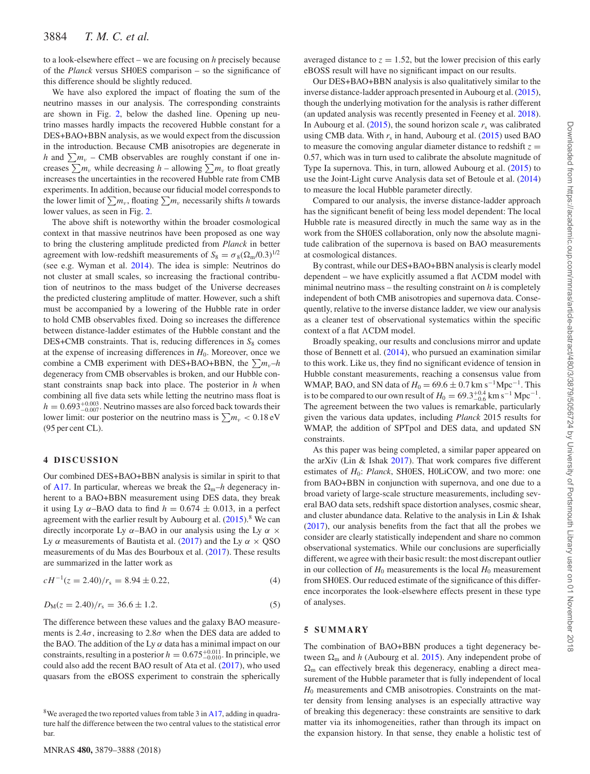to a look-elsewhere effect – we are focusing on *h* precisely because of the *Planck* versus SH0ES comparison – so the significance of this difference should be slightly reduced.

We have also explored the impact of floating the sum of the neutrino masses in our analysis. The corresponding constraints are shown in Fig. [2,](#page-4-0) below the dashed line. Opening up neutrino masses hardly impacts the recovered Hubble constant for a DES+BAO+BBN analysis, as we would expect from the discussion in the introduction. Because CMB anisotropies are degenerate in *h* and  $\sum m_\nu$  – CMB observables are roughly constant if one increases  $\sum m_\nu$  while decreasing *h* – allowing  $\sum m_\nu$  to float greatly increases the uncertainties in the recovered Hubble rate from CMB experiments. In addition, because our fiducial model corresponds to the lower limit of  $\sum m_\nu$ , floating  $\sum m_\nu$  necessarily shifts *h* towards lower values, as seen in Fig. [2.](#page-4-0)

The above shift is noteworthy within the broader cosmological context in that massive neutrinos have been proposed as one way to bring the clustering amplitude predicted from *Planck* in better agreement with low-redshift measurements of  $S_8 = \sigma_8(\Omega_m/0.3)^{1/2}$ (see e.g. Wyman et al. [2014\)](#page-7-44). The idea is simple: Neutrinos do not cluster at small scales, so increasing the fractional contribution of neutrinos to the mass budget of the Universe decreases the predicted clustering amplitude of matter. However, such a shift must be accompanied by a lowering of the Hubble rate in order to hold CMB observables fixed. Doing so increases the difference between distance-ladder estimates of the Hubble constant and the DES+CMB constraints. That is, reducing differences in  $S_8$  comes at the expense of increasing differences in  $H_0$ . Moreover, once we combine a CMB experiment with DES+BAO+BBN, the  $\sum m_{\nu}$ –*h* degeneracy from CMB observables is broken, and our Hubble constant constraints snap back into place. The posterior in *h* when combining all five data sets while letting the neutrino mass float is  $h = 0.693_{-0.007}^{+0.003}$ . Neutrino masses are also forced back towards their lower limit: our posterior on the neutrino mass is  $\sum m_\nu < 0.18 \text{ eV}$ (95 per cent CL).

#### **4 DISCUSSION**

Our combined DES+BAO+BBN analysis is similar in spirit to that of [A17.](#page-7-23) In particular, whereas we break the  $\Omega_m$ –*h* degeneracy inherent to a BAO+BBN measurement using DES data, they break it using Ly  $\alpha$ -BAO data to find  $h = 0.674 \pm 0.013$ , in a perfect agreement with the earlier result by Aubourg et al.  $(2015)^8$  $(2015)^8$  We can directly incorporate Ly *α*–BAO in our analysis using the Ly *α* × Ly *α* measurements of Bautista et al. [\(2017\)](#page-7-45) and the Ly  $\alpha \times \text{QSO}$ measurements of du Mas des Bourboux et al. [\(2017\)](#page-7-46). These results are summarized in the latter work as

$$
cH^{-1}(z = 2.40)/r_s = 8.94 \pm 0.22,
$$
\n(4)

$$
D_{\rm M}(z=2.40)/r_{\rm s}=36.6\pm1.2.\tag{5}
$$

The difference between these values and the galaxy BAO measurements is  $2.4\sigma$ , increasing to  $2.8\sigma$  when the DES data are added to the BAO. The addition of the Ly  $\alpha$  data has a minimal impact on our constraints, resulting in a posterior  $h = 0.675^{+0.011}_{-0.010}$ . In principle, we could also add the recent BAO result of Ata et al. [\(2017\)](#page-7-47), who used quasars from the eBOSS experiment to constrain the spherically

averaged distance to  $z = 1.52$ , but the lower precision of this early eBOSS result will have no significant impact on our results.

Our DES+BAO+BBN analysis is also qualitatively similar to the inverse distance-ladder approach presented in Aubourg et al. [\(2015\)](#page-7-21), though the underlying motivation for the analysis is rather different (an updated analysis was recently presented in Feeney et al. [2018\)](#page-7-48). In Aubourg et al.  $(2015)$ , the sound horizon scale  $r<sub>s</sub>$  was calibrated using CMB data. With  $r_s$  in hand, Aubourg et al.  $(2015)$  used BAO to measure the comoving angular diameter distance to redshift  $z =$ 0.57, which was in turn used to calibrate the absolute magnitude of Type Ia supernova. This, in turn, allowed Aubourg et al. [\(2015\)](#page-7-21) to use the Joint-Light curve Analysis data set of Betoule et al. [\(2014\)](#page-7-3) to measure the local Hubble parameter directly.

Compared to our analysis, the inverse distance-ladder approach has the significant benefit of being less model dependent: The local Hubble rate is measured directly in much the same way as in the work from the SH0ES collaboration, only now the absolute magnitude calibration of the supernova is based on BAO measurements at cosmological distances.

By contrast, while our DES+BAO+BBN analysis is clearly model dependent – we have explicitly assumed a flat  $\Lambda$ CDM model with minimal neutrino mass – the resulting constraint on *h* is completely independent of both CMB anisotropies and supernova data. Consequently, relative to the inverse distance ladder, we view our analysis as a cleaner test of observational systematics within the specific context of a flat  $\Lambda$ CDM model.

Broadly speaking, our results and conclusions mirror and update those of Bennett et al. [\(2014\)](#page-7-49), who pursued an examination similar to this work. Like us, they find no significant evidence of tension in Hubble constant measurements, reaching a consensus value from WMAP, BAO, and SN data of  $H_0 = 69.6 \pm 0.7$  km s<sup>-1</sup>Mpc<sup>-1</sup>. This is to be compared to our own result of  $H_0 = 69.3^{+0.4}_{-0.6}$  km s<sup>-1</sup> Mpc<sup>-1</sup>. The agreement between the two values is remarkable, particularly given the various data updates, including *Planck* 2015 results for WMAP, the addition of SPTpol and DES data, and updated SN constraints.

As this paper was being completed, a similar paper appeared on the arXiv (Lin & Ishak [2017\)](#page-7-50). That work compares five different estimates of *H*0: *Planck*, SH0ES, H0LiCOW, and two more: one from BAO+BBN in conjunction with supernova, and one due to a broad variety of large-scale structure measurements, including several BAO data sets, redshift space distortion analyses, cosmic shear, and cluster abundance data. Relative to the analysis in Lin & Ishak [\(2017\)](#page-7-50), our analysis benefits from the fact that all the probes we consider are clearly statistically independent and share no common observational systematics. While our conclusions are superficially different, we agree with their basic result: the most discrepant outlier in our collection of  $H_0$  measurements is the local  $H_0$  measurement from SH0ES. Our reduced estimate of the significance of this difference incorporates the look-elsewhere effects present in these type of analyses.

#### **5 SUMMARY**

The combination of BAO+BBN produces a tight degeneracy between  $\Omega_{\rm m}$  and *h* (Aubourg et al. [2015\)](#page-7-21). Any independent probe of  $\Omega_{\rm m}$  can effectively break this degeneracy, enabling a direct measurement of the Hubble parameter that is fully independent of local *H*<sub>0</sub> measurements and CMB anisotropies. Constraints on the matter density from lensing analyses is an especially attractive way of breaking this degeneracy: these constraints are sensitive to dark matter via its inhomogeneities, rather than through its impact on the expansion history. In that sense, they enable a holistic test of

<sup>&</sup>lt;sup>8</sup>We averaged the two reported values from table 3 in [A17,](#page-7-23) adding in quadrature half the difference between the two central values to the statistical error bar.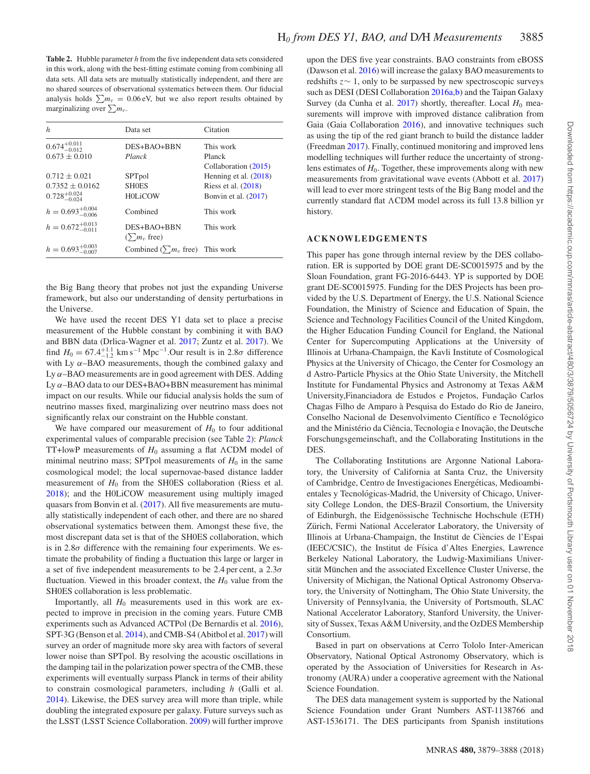<span id="page-6-0"></span>**Table 2.** Hubble parameter *h* from the five independent data sets considered in this work, along with the best-fitting estimate coming from combining all data sets. All data sets are mutually statistically independent, and there are no shared sources of observational systematics between them. Our fiducial analysis holds  $\sum m_{\nu} = 0.06 \text{ eV}$ , but we also report results obtained by marginalizing over  $\sum m_{\nu}$ .

| h                                                                 | Data set                                  | Citation                                                                   |
|-------------------------------------------------------------------|-------------------------------------------|----------------------------------------------------------------------------|
| $0.674^{+0.011}_{-0.012}$<br>$0.673 \pm 0.010$                    | DES+BAO+BBN<br>Planck                     | This work<br>Planck<br>Collaboration (2015)                                |
| $0.712 + 0.021$<br>$0.7352 + 0.0162$<br>$0.728_{-0.024}^{+0.024}$ | SPTpol<br><b>SHOES</b><br>H0LiCOW         | Henning et al. $(2018)$<br>Riess et al. $(2018)$<br>Bonvin et al. $(2017)$ |
| $h = 0.693^{+0.004}_{-0.006}$                                     | Combined                                  | This work                                                                  |
| $h = 0.672^{+0.013}_{-0.011}$                                     | DES+BAO+BBN<br>$(\sum m_{v}$ free)        | This work                                                                  |
| $h = 0.693^{+0.003}_{-0.007}$                                     | Combined ( $\sum m_{\nu}$ free) This work |                                                                            |

the Big Bang theory that probes not just the expanding Universe framework, but also our understanding of density perturbations in the Universe.

We have used the recent DES Y1 data set to place a precise measurement of the Hubble constant by combining it with BAO and BBN data (Drlica-Wagner et al. [2017;](#page-7-51) Zuntz et al. [2017\)](#page-7-29). We find  $H_0 = 67.4^{+1.1}_{-1.2}$  km s<sup>-1</sup> Mpc<sup>-1</sup>. Our result is in 2.8*σ* difference with Ly  $\alpha$ –BAO measurements, though the combined galaxy and Ly *α*–BAO measurements are in good agreement with DES. Adding Ly *α*–BAO data to our DES+BAO+BBN measurement has minimal impact on our results. While our fiducial analysis holds the sum of neutrino masses fixed, marginalizing over neutrino mass does not significantly relax our constraint on the Hubble constant.

We have compared our measurement of  $H_0$  to four additional experimental values of comparable precision (see Table [2\)](#page-6-0): *Planck* TT+lowP measurements of  $H_0$  assuming a flat  $\Lambda$ CDM model of minimal neutrino mass; SPTpol measurements of  $H_0$  in the same cosmological model; the local supernovae-based distance ladder measurement of  $H_0$  from the SH0ES collaboration (Riess et al. [2018\)](#page-7-16); and the H0LiCOW measurement using multiply imaged quasars from Bonvin et al. [\(2017\)](#page-7-8). All five measurements are mutually statistically independent of each other, and there are no shared observational systematics between them. Amongst these five, the most discrepant data set is that of the SH0ES collaboration, which is in  $2.8\sigma$  difference with the remaining four experiments. We estimate the probability of finding a fluctuation this large or larger in a set of five independent measurements to be 2.4 per cent, a 2.3*σ* fluctuation. Viewed in this broader context, the  $H_0$  value from the SH0ES collaboration is less problematic.

Importantly, all  $H_0$  measurements used in this work are expected to improve in precision in the coming years. Future CMB experiments such as Advanced ACTPol (De Bernardis et al. [2016\)](#page-7-52), SPT-3G (Benson et al. [2014\)](#page-7-53), and CMB-S4 (Abitbol et al. [2017\)](#page-7-54) will survey an order of magnitude more sky area with factors of several lower noise than SPTpol. By resolving the acoustic oscillations in the damping tail in the polarization power spectra of the CMB, these experiments will eventually surpass Planck in terms of their ability to constrain cosmological parameters, including *h* (Galli et al. [2014\)](#page-7-55). Likewise, the DES survey area will more than triple, while doubling the integrated exposure per galaxy. Future surveys such as the LSST (LSST Science Collaboration. [2009\)](#page-7-56) will further improve

upon the DES five year constraints. BAO constraints from eBOSS (Dawson et al. [2016\)](#page-7-57) will increase the galaxy BAO measurements to redshifts *z*∼ 1, only to be surpassed by new spectroscopic surveys such as DESI (DESI Collaboration [2016a,](#page-7-58)[b\)](#page-7-59) and the Taipan Galaxy Survey (da Cunha et al.  $2017$ ) shortly, thereafter. Local  $H_0$  measurements will improve with improved distance calibration from Gaia (Gaia Collaboration [2016\)](#page-7-61), and innovative techniques such as using the tip of the red giant branch to build the distance ladder (Freedman [2017\)](#page-7-18). Finally, continued monitoring and improved lens modelling techniques will further reduce the uncertainty of stronglens estimates of  $H_0$ . Together, these improvements along with new measurements from gravitational wave events (Abbott et al. [2017\)](#page-7-62) will lead to ever more stringent tests of the Big Bang model and the currently standard flat *-*CDM model across its full 13.8 billion yr history.

### **ACKNOWLEDGEMENTS**

This paper has gone through internal review by the DES collaboration. ER is supported by DOE grant DE-SC0015975 and by the Sloan Foundation, grant FG-2016-6443. YP is supported by DOE grant DE-SC0015975. Funding for the DES Projects has been provided by the U.S. Department of Energy, the U.S. National Science Foundation, the Ministry of Science and Education of Spain, the Science and Technology Facilities Council of the United Kingdom, the Higher Education Funding Council for England, the National Center for Supercomputing Applications at the University of Illinois at Urbana-Champaign, the Kavli Institute of Cosmological Physics at the University of Chicago, the Center for Cosmology an d Astro-Particle Physics at the Ohio State University, the Mitchell Institute for Fundamental Physics and Astronomy at Texas A&M University,Financiadora de Estudos e Projetos, Fundação Carlos Chagas Filho de Amparo à Pesquisa do Estado do Rio de Janeiro, Conselho Nacional de Desenvolvimento Científico e Tecnológico and the Ministério da Ciência, Tecnologia e Inovação, the Deutsche Forschungsgemeinschaft, and the Collaborating Institutions in the DES.

The Collaborating Institutions are Argonne National Laboratory, the University of California at Santa Cruz, the University of Cambridge, Centro de Investigaciones Energeticas, Medioambi- ´ entales y Tecnológicas-Madrid, the University of Chicago, University College London, the DES-Brazil Consortium, the University of Edinburgh, the Eidgenössische Technische Hochschule (ETH) Zürich, Fermi National Accelerator Laboratory, the University of Illinois at Urbana-Champaign, the Institut de Ciencies de l'Espai ` (IEEC/CSIC), the Institut de Física d'Altes Energies, Lawrence Berkeley National Laboratory, the Ludwig-Maximilians Universität München and the associated Excellence Cluster Universe, the University of Michigan, the National Optical Astronomy Observatory, the University of Nottingham, The Ohio State University, the University of Pennsylvania, the University of Portsmouth, SLAC National Accelerator Laboratory, Stanford University, the University of Sussex, Texas A&M University, and the OzDES Membership Consortium.

Based in part on observations at Cerro Tololo Inter-American Observatory, National Optical Astronomy Observatory, which is operated by the Association of Universities for Research in Astronomy (AURA) under a cooperative agreement with the National Science Foundation.

The DES data management system is supported by the National Science Foundation under Grant Numbers AST-1138766 and AST-1536171. The DES participants from Spanish institutions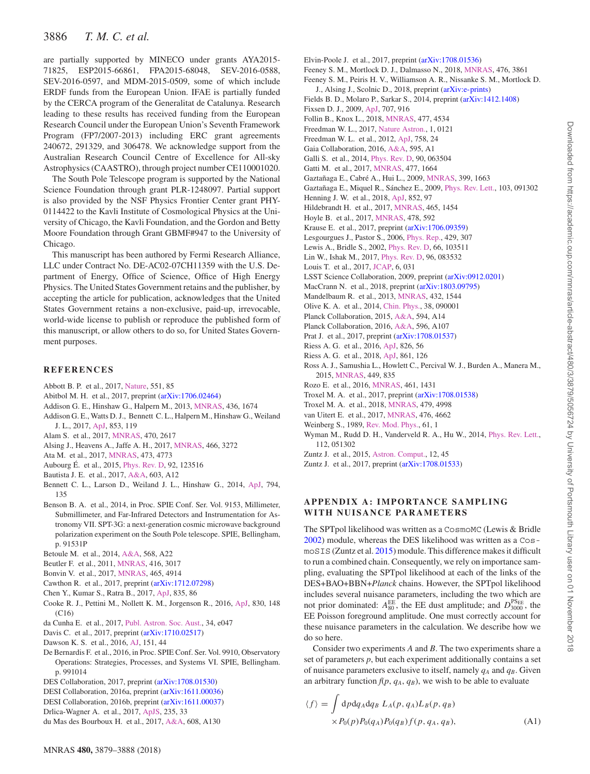# 3886 *T. M. C. et al.*

are partially supported by MINECO under grants AYA2015- 71825, ESP2015-66861, FPA2015-68048, SEV-2016-0588, SEV-2016-0597, and MDM-2015-0509, some of which include ERDF funds from the European Union. IFAE is partially funded by the CERCA program of the Generalitat de Catalunya. Research leading to these results has received funding from the European Research Council under the European Union's Seventh Framework Program (FP7/2007-2013) including ERC grant agreements 240672, 291329, and 306478. We acknowledge support from the Australian Research Council Centre of Excellence for All-sky Astrophysics (CAASTRO), through project number CE110001020.

The South Pole Telescope program is supported by the National Science Foundation through grant PLR-1248097. Partial support is also provided by the NSF Physics Frontier Center grant PHY-0114422 to the Kavli Institute of Cosmological Physics at the University of Chicago, the Kavli Foundation, and the Gordon and Betty Moore Foundation through Grant GBMF#947 to the University of Chicago.

This manuscript has been authored by Fermi Research Alliance, LLC under Contract No. DE-AC02-07CH11359 with the U.S. Department of Energy, Office of Science, Office of High Energy Physics. The United States Government retains and the publisher, by accepting the article for publication, acknowledges that the United States Government retains a non-exclusive, paid-up, irrevocable, world-wide license to publish or reproduce the published form of this manuscript, or allow others to do so, for United States Government purposes.

#### **REFERENCES**

- <span id="page-7-62"></span>Abbott B. P. et al., 2017, [Nature,](http://dx.doi.org/ 10.1038/nature24471) 551, 85
- <span id="page-7-54"></span>Abitbol M. H. et al., 2017, preprint [\(arXiv:1706.02464\)](https://arxiv.org/abs/1706.02464)
- <span id="page-7-20"></span>Addison G. E., Hinshaw G., Halpern M., 2013, [MNRAS,](http://dx.doi.org/ 10.1093/mnras/stt1687) 436, 1674
- <span id="page-7-23"></span>Addison G. E., Watts D. J., Bennett C. L., Halpern M., Hinshaw G., Weiland J. L., 2017, [ApJ,](http://dx.doi.org/ 10.3847/1538-4357/aaa1ed) 853, 119
- <span id="page-7-7"></span>Alam S. et al., 2017, [MNRAS,](http://dx.doi.org/ 10.1093/mnras/stx721) 470, 2617
- <span id="page-7-10"></span>Alsing J., Heavens A., Jaffe A. H., 2017, [MNRAS,](http://dx.doi.org/ 10.1093/mnras/stw3161) 466, 3272
- <span id="page-7-47"></span>Ata M. et al., 2017, [MNRAS,](http://dx.doi.org/ 10.1093/mnras/stx2630) 473, 4773
- <span id="page-7-21"></span>Aubourg É. et al., 2015, *[Phys. Rev. D,](http://dx.doi.org/ 10.1103/PhysRevD.92.123516) 92, 123516*
- <span id="page-7-45"></span>Bautista J. E. et al., 2017, [A&A,](http://dx.doi.org/ 10.1051/0004-6361/201730533) 603, A12
- <span id="page-7-49"></span>Bennett C. L., Larson D., Weiland J. L., Hinshaw G., 2014, [ApJ,](http://dx.doi.org/10.1088/0004-637X/794/2/135) 794, 135
- <span id="page-7-53"></span>Benson B. A. et al., 2014, in Proc. SPIE Conf. Ser. Vol. 9153, Millimeter, Submillimeter, and Far-Infrared Detectors and Instrumentation for Astronomy VII. SPT-3G: a next-generation cosmic microwave background polarization experiment on the South Pole telescope. SPIE, Bellingham, p. 91531P
- <span id="page-7-3"></span>Betoule M. et al., 2014, [A&A,](http://dx.doi.org/ 10.1051/0004-6361/201423413) 568, A22
- <span id="page-7-5"></span>Beutler F. et al., 2011, [MNRAS,](http://dx.doi.org/ 10.1111/j.1365-2966.2011.19250.x) 416, 3017
- <span id="page-7-8"></span>Bonvin V. et al., 2017, [MNRAS,](http://dx.doi.org/10.1093/mnras/stw3006) 465, 4914
- <span id="page-7-33"></span>Cawthon R. et al., 2017, preprint [\(arXiv:1712.07298\)](https://arxiv.org/abs/1712.07298)
- <span id="page-7-43"></span>Chen Y., Kumar S., Ratra B., 2017, [ApJ,](http://dx.doi.org/ 10.3847/1538-4357/835/1/86) 835, 86
- <span id="page-7-0"></span>Cooke R. J., Pettini M., Nollett K. M., Jorgenson R., 2016, [ApJ,](http://dx.doi.org/ 10.3847/0004-637X/830/2/148) 830, 148 (C16)
- <span id="page-7-60"></span>da Cunha E. et al., 2017, [Publ. Astron. Soc. Aust.,](http://dx.doi.org/ 10.1017/pasa.2017.41) 34, e047
- <span id="page-7-31"></span>Davis C. et al., 2017, preprint [\(arXiv:1710.02517\)](https://arxiv.org/abs/1710.02517)
- <span id="page-7-57"></span>Dawson K. S. et al., 2016, [AJ,](http://dx.doi.org/ 10.3847/0004-6256/151/2/44) 151, 44
- <span id="page-7-52"></span>De Bernardis F. et al., 2016, in Proc. SPIE Conf. Ser. Vol. 9910, Observatory Operations: Strategies, Processes, and Systems VI. SPIE, Bellingham. p. 991014
- <span id="page-7-11"></span>DES Collaboration, 2017, preprint [\(arXiv:1708.01530\)](https://arxiv.org/abs/1708.01530)
- <span id="page-7-58"></span>DESI Collaboration, 2016a, preprint [\(arXiv:1611.00036\)](https://arxiv.org/abs/1611.00036)
- <span id="page-7-59"></span>DESI Collaboration, 2016b, preprint [\(arXiv:1611.00037\)](http://arxiv.org/abs/e-prints)
- <span id="page-7-51"></span>Drlica-Wagner A. et al., 2017, [ApJS,](http://dx.doi.org/ 10.3847/1538-4365/aab4f5) 235, 33
- <span id="page-7-46"></span>du Mas des Bourboux H. et al., 2017, [A&A,](http://dx.doi.org/ 10.1051/0004-6361/201731731) 608, A130
- <span id="page-7-25"></span>Elvin-Poole J. et al., 2017, preprint [\(arXiv:1708.01536\)](https://arxiv.org/abs/1708.01536)
- <span id="page-7-40"></span>Feeney S. M., Mortlock D. J., Dalmasso N., 2018, [MNRAS,](http://dx.doi.org/10.1093/mnras/sty418) 476, 3861
- <span id="page-7-48"></span>Feeney S. M., Peiris H. V., Williamson A. R., Nissanke S. M., Mortlock D. J., Alsing J., Scolnic D., 2018, preprint [\(arXiv:e-prints\)](http://arxiv.org/abs/e-prints)
- <span id="page-7-22"></span>Fields B. D., Molaro P., Sarkar S., 2014, preprint [\(arXiv:1412.1408\)](https://arxiv.org/abs/1412.1408)
- <span id="page-7-24"></span>Fixsen D. J., 2009, [ApJ,](http://dx.doi.org/ 10.1088/0004-637X/707/2/916) 707, 916
- <span id="page-7-41"></span>Follin B., Knox L., 2018, [MNRAS,](http://dx.doi.org/ 10.1093/mnras/sty720) 477, 4534
- <span id="page-7-18"></span>Freedman W. L., 2017, [Nature Astron.,](http://dx.doi.org/10.1038/s41550-017-0121) 1, 0121
- <span id="page-7-17"></span>Freedman W. L. et al., 2012, [ApJ,](http://dx.doi.org/10.1088/0004-637X/758/1/24) 758, 24
- <span id="page-7-61"></span>Gaia Collaboration, 2016, [A&A,](http://dx.doi.org/ 10.1051/0004-6361/201629272) 595, A1
- <span id="page-7-55"></span>Galli S. et al., 2014, [Phys. Rev. D,](http://dx.doi.org/ 10.1103/PhysRevD.90.063504) 90, 063504
- <span id="page-7-32"></span>Gatti M. et al., 2017, [MNRAS,](http://dx.doi.org/10.1093/mnras/sty466) 477, 1664
- <span id="page-7-4"></span>Gaztañaga E., Cabré A., Hui L., 2009, [MNRAS,](http://dx.doi.org/10.1111/j.1365-2966.2009.15405.x) 399, 1663
- <span id="page-7-42"></span>Gaztañaga E., Miquel R., Sánchez E., 2009, *Phys. Rev. Lett.*, 103, 091302
- <span id="page-7-2"></span>Henning J. W. et al., 2018, [ApJ,](http://dx.doi.org/10.3847/1538-4357/aa9ff4) 852, 97
- <span id="page-7-12"></span>Hildebrandt H. et al., 2017, [MNRAS,](http://dx.doi.org/ 10.1093/mnras/stw2805) 465, 1454
- <span id="page-7-30"></span>Hoyle B. et al., 2017, [MNRAS,](http://dx.doi.org/ 10.1093/mnras/sty957) 478, 592
- <span id="page-7-27"></span>Krause E. et al., 2017, preprint [\(arXiv:1706.09359\)](https://arxiv.org/abs/1706.09359)
- <span id="page-7-36"></span>Lesgourgues J., Pastor S., 2006, [Phys. Rep.,](http://dx.doi.org/ 10.1016/j.physrep.2006.04.001) 429, 307
- <span id="page-7-63"></span>Lewis A., Bridle S., 2002, [Phys. Rev. D,](http://dx.doi.org/ 10.1103/PhysRevD.66.103511) 66, 103511
- <span id="page-7-50"></span>Lin W., Ishak M., 2017, [Phys. Rev. D,](http://dx.doi.org/ 10.1103/PhysRevD.96.083532) 96, 083532
- <span id="page-7-39"></span>Louis T. et al., 2017, [JCAP,](http://dx.doi.org/ 10.1088/1475-7516/2017/06/031) 6, 031
- <span id="page-7-56"></span>LSST Science Collaboration, 2009, preprint [\(arXiv:0912.0201\)](http://arxiv.org/abs/0912.0201)
- <span id="page-7-34"></span>MacCrann N. et al., 2018, preprint [\(arXiv:1803.09795\)](https://arxiv.org/abs/1803.09795)
- <span id="page-7-9"></span>Mandelbaum R. et al., 2013, [MNRAS,](http://dx.doi.org/ 10.1093/mnras/stt572) 432, 1544
- <span id="page-7-37"></span>Olive K. A. et al., 2014, [Chin. Phys.,](http://dx.doi.org/10.1088/1674-1137/38/9/090001) 38, 090001
- <span id="page-7-1"></span>Planck Collaboration, 2015, [A&A,](http://dx.doi.org/ 10.1051/0004-6361/201525787) 594, A14
- <span id="page-7-38"></span>Planck Collaboration, 2016, [A&A,](http://dx.doi.org/10.1051/0004-6361/201628890) 596, A107
- <span id="page-7-26"></span>Prat J. et al., 2017, preprint [\(arXiv:1708.01537\)](https://arxiv.org/abs/1708.01537)
- <span id="page-7-19"></span>Riess A. G. et al., 2016, [ApJ,](http://dx.doi.org/ 10.3847/0004-637X/826/1/56) 826, 56
- <span id="page-7-16"></span>Riess A. G. et al., 2018, [ApJ,](http://dx.doi.org/ 10.3847/1538-4357/aac82e) 861, 126
- <span id="page-7-6"></span>Ross A. J., Samushia L., Howlett C., Percival W. J., Burden A., Manera M., 2015, [MNRAS,](http://dx.doi.org/ 10.1093/mnras/stv154) 449, 835
- <span id="page-7-28"></span>Rozo E. et al., 2016, [MNRAS,](http://dx.doi.org/ 10.1093/mnras/stw1281) 461, 1431
- <span id="page-7-13"></span>Troxel M. A. et al., 2017, preprint [\(arXiv:1708.01538\)](https://arxiv.org/abs/1708.01538)
- <span id="page-7-35"></span>Troxel M. A. et al., 2018, [MNRAS,](http://dx.doi.org/10.1093/mnras/sty1889) 479, 4998
- <span id="page-7-14"></span>van Uitert E. et al., 2017, [MNRAS,](http://dx.doi.org/ 10.1093/mnras/sty551) 476, 4662
- <span id="page-7-15"></span>Weinberg S., 1989, [Rev. Mod. Phys.,](http://dx.doi.org/10.1103/RevModPhys.61.1) 61, 1
- <span id="page-7-44"></span>Wyman M., Rudd D. H., Vanderveld R. A., Hu W., 2014, [Phys. Rev. Lett.,](http://dx.doi.org/ 10.1103/PhysRevLett.112.051302) 112, 051302
- <span id="page-7-64"></span>Zuntz J. et al., 2015, [Astron. Comput.,](http://dx.doi.org/ 10.1016/j.ascom.2015.05.005) 12, 45
- <span id="page-7-29"></span>Zuntz J. et al., 2017, preprint [\(arXiv:1708.01533\)](https://arxiv.org/abs/1708.01533)

## **APPENDIX A: IMPORTANCE SAMPLING WITH NUISANCE PARAMETERS**

The SPTpol likelihood was written as a CosmoMC (Lewis & Bridle [2002\)](#page-7-63) module, whereas the DES likelihood was written as a CosmoSIS (Zuntz et al. [2015\)](#page-7-64) module. This difference makes it difficult to run a combined chain. Consequently, we rely on importance sampling, evaluating the SPTpol likelihood at each of the links of the DES+BAO+BBN+*Planck* chains. However, the SPTpol likelihood includes several nuisance parameters, including the two which are not prior dominated:  $A_{80}^{EE}$ , the EE dust amplitude; and  $D_{3000}^{PSEE}$ , the EE Poisson foreground amplitude. One must correctly account for these nuisance parameters in the calculation. We describe how we do so here.

Consider two experiments *A* and *B*. The two experiments share a set of parameters *p*, but each experiment additionally contains a set of nuisance parameters exclusive to itself, namely  $q_A$  and  $q_B$ . Given an arbitrary function  $f(p, q_A, q_B)$ , we wish to be able to evaluate

$$
\langle f \rangle = \int d\rho dq_A dq_B L_A(p, q_A) L_B(p, q_B)
$$
  
 
$$
\times P_0(p) P_0(q_A) P_0(q_B) f(p, q_A, q_B), \tag{A1}
$$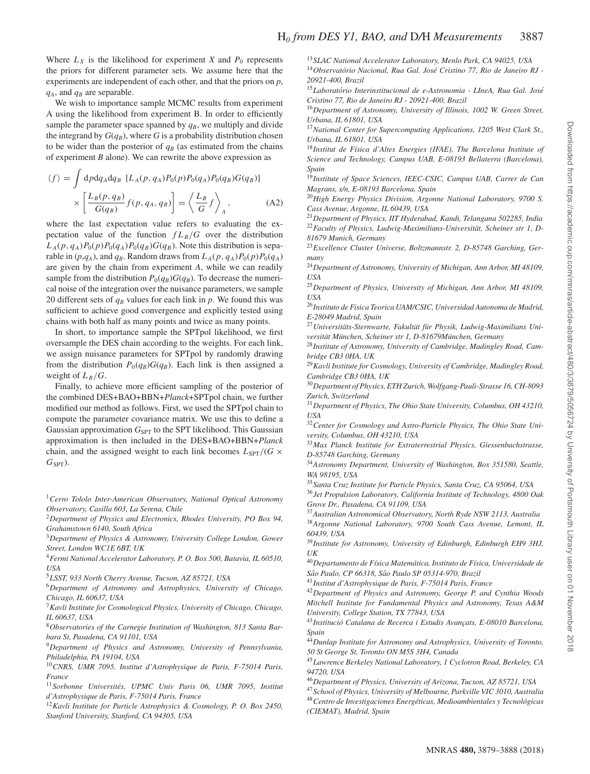Where  $L_X$  is the likelihood for experiment *X* and  $P_0$  represents the priors for different parameter sets. We assume here that the experiments are independent of each other, and that the priors on *p*,  $q_A$ , and  $q_B$  are separable.

We wish to importance sample MCMC results from experiment A using the likelihood from experiment B. In order to efficiently sample the parameter space spanned by  $q_B$ , we multiply and divide the integrand by  $G(q_B)$ , where G is a probability distribution chosen to be wider than the posterior of  $q_B$  (as estimated from the chains of experiment *B* alone). We can rewrite the above expression as

$$
\langle f \rangle = \int d\rho dq_A dq_B \left[ L_A(p, q_A) P_0(p) P_0(q_A) P_0(q_B) G(q_B) \right] \times \left[ \frac{L_B(p, q_B)}{G(q_B)} f(p, q_A, q_B) \right] = \left\langle \frac{L_B}{G} f \right\rangle_A, \tag{A2}
$$

where the last expectation value refers to evaluating the expectation value of the function  $f L_B/G$  over the distribution  $L_A(p, q_A)P_0(p)P_0(q_A)P_0(q_B)G(q_B)$ . Note this distribution is separable in  $(p,q_A)$ , and  $q_B$ . Random draws from  $L_A(p,q_A)P_0(p)P_0(q_A)$ are given by the chain from experiment *A*, while we can readily sample from the distribution  $P_0(q_B)G(q_B)$ . To decrease the numerical noise of the integration over the nuisance parameters, we sample 20 different sets of  $q_B$  values for each link in  $p$ . We found this was sufficient to achieve good convergence and explicitly tested using chains with both half as many points and twice as many points.

In short, to importance sample the SPTpol likelihood, we first oversample the DES chain according to the weights. For each link, we assign nuisance parameters for SPTpol by randomly drawing from the distribution  $P_0(q_B)G(q_B)$ . Each link is then assigned a weight of  $L_B/G$ .

Finally, to achieve more efficient sampling of the posterior of the combined DES+BAO+BBN+*Planck*+SPTpol chain, we further modified our method as follows. First, we used the SPTpol chain to compute the parameter covariance matrix. We use this to define a Gaussian approximation  $G_{\text{SPT}}$  to the SPT likelihood. This Gaussian approximation is then included in the DES+BAO+BBN+*Planck* chain, and the assigned weight to each link becomes  $L_{\text{SPT}}/(G \times$ *G*<sub>SPT</sub> $)$ .

<span id="page-8-0"></span><sup>1</sup>*Cerro Tololo Inter-American Observatory, National Optical Astronomy Observatory, Casilla 603, La Serena, Chile*

<span id="page-8-1"></span><sup>2</sup>*Department of Physics and Electronics, Rhodes University, PO Box 94, Grahamstown 6140, South Africa*

<span id="page-8-2"></span><sup>3</sup>*Department of Physics & Astronomy, University College London, Gower Street, London WC1E 6BT, UK*

<span id="page-8-3"></span><sup>4</sup>*Fermi National Accelerator Laboratory, P. O. Box 500, Batavia, IL 60510, USA*

<span id="page-8-4"></span><sup>5</sup>*LSST, 933 North Cherry Avenue, Tucson, AZ 85721, USA*

<span id="page-8-6"></span><sup>6</sup>*Department of Astronomy and Astrophysics, University of Chicago, Chicago, IL 60637, USA*

<span id="page-8-7"></span><sup>7</sup>*Kavli Institute for Cosmological Physics, University of Chicago, Chicago, IL 60637, USA*

<span id="page-8-8"></span><sup>8</sup>*Observatories of the Carnegie Institution of Washington, 813 Santa Barbara St, Pasadena, CA 91101, USA*

<span id="page-8-9"></span><sup>9</sup>*Department of Physics and Astronomy, University of Pennsylvania, Philadelphia, PA 19104, USA*

<span id="page-8-10"></span><sup>10</sup>*CNRS, UMR 7095, Institut d'Astrophysique de Paris, F-75014 Paris, France*

<span id="page-8-11"></span><sup>11</sup>*Sorbonne Universites, UPMC Univ Paris 06, UMR 7095, Institut ´ d'Astrophysique de Paris, F-75014 Paris, France*

<span id="page-8-12"></span><sup>12</sup>*Kavli Institute for Particle Astrophysics & Cosmology, P. O. Box 2450, Stanford University, Stanford, CA 94305, USA*

<span id="page-8-14"></span><span id="page-8-13"></span><sup>13</sup>*SLAC National Accelerator Laboratory, Menlo Park, CA 94025, USA* <sup>14</sup>Observatório Nacional, Rua Gal. José Cristino 77, Rio de Janeiro RJ -*20921-400, Brazil*

<span id="page-8-15"></span><sup>15</sup>*Laboratorio Interinstitucional de e-Astronomia - LIneA, Rua Gal. Jos ´ e´ Cristino 77, Rio de Janeiro RJ - 20921-400, Brazil*

<span id="page-8-16"></span><sup>16</sup>*Department of Astronomy, University of Illinois, 1002 W. Green Street, Urbana, IL 61801, USA*

<span id="page-8-17"></span><sup>17</sup>*National Center for Supercomputing Applications, 1205 West Clark St., Urbana, IL 61801, USA*

<span id="page-8-18"></span><sup>18</sup> Institut de Física d'Altes Energies (IFAE), The Barcelona Institute of *Science and Technology, Campus UAB, E-08193 Bellaterra (Barcelona), Spain*

<span id="page-8-19"></span><sup>19</sup>*Institute of Space Sciences, IEEC-CSIC, Campus UAB, Carrer de Can Magrans, s/n, E-08193 Barcelona, Spain*

<span id="page-8-20"></span><sup>20</sup>*High Energy Physics Division, Argonne National Laboratory, 9700 S. Cass Avenue, Argonne, IL 60439, USA*

<span id="page-8-22"></span><span id="page-8-21"></span><sup>21</sup>*Department of Physics, IIT Hyderabad, Kandi, Telangana 502285, India* <sup>22</sup> Faculty of Physics, Ludwig-Maximilians-Universität, Scheiner str 1, D-*81679 Munich, Germany*

<span id="page-8-23"></span><sup>23</sup>*Excellence Cluster Universe, Boltzmannstr. 2, D-85748 Garching, Germany*

<span id="page-8-24"></span><sup>24</sup>*Department of Astronomy, University of Michigan, Ann Arbor, MI 48109, USA*

<span id="page-8-25"></span><sup>25</sup>*Department of Physics, University of Michigan, Ann Arbor, MI 48109, USA*

<span id="page-8-26"></span><sup>26</sup>*Instituto de Fisica Teorica UAM/CSIC, Universidad Autonoma de Madrid, E-28049 Madrid, Spain*

<span id="page-8-27"></span><sup>27</sup> Universitäts-Sternwarte, Fakultät für Physik, Ludwig-Maximilians Uni-

*versitat M¨ unchen, Scheiner str 1, D-81679M ¨ unchen, Germany ¨* <sup>28</sup>*Institute of Astronomy, University of Cambridge, Madingley Road, Cam-*

<span id="page-8-28"></span>*bridge CB3 0HA, UK*

<span id="page-8-29"></span><sup>29</sup>*Kavli Institute for Cosmology, University of Cambridge, Madingley Road, Cambridge CB3 0HA, UK*

<span id="page-8-30"></span><sup>30</sup>*Department of Physics, ETH Zurich, Wolfgang-Pauli-Strasse 16, CH-8093 Zurich, Switzerland*

<span id="page-8-31"></span><sup>31</sup>*Department of Physics, The Ohio State University, Columbus, OH 43210, USA*

<span id="page-8-5"></span><sup>32</sup>*Center for Cosmology and Astro-Particle Physics, The Ohio State University, Columbus, OH 43210, USA*

<span id="page-8-32"></span><sup>33</sup>*Max Planck Institute for Extraterrestrial Physics, Giessenbachstrasse, D-85748 Garching, Germany*

<span id="page-8-33"></span><sup>34</sup>*Astronomy Department, University of Washington, Box 351580, Seattle, WA 98195, USA*

<span id="page-8-35"></span><span id="page-8-34"></span><sup>35</sup>*Santa Cruz Institute for Particle Physics, Santa Cruz, CA 95064, USA* <sup>36</sup>*Jet Propulsion Laboratory, California Institute of Technology, 4800 Oak Grove Dr., Pasadena, CA 91109, USA*

<span id="page-8-37"></span><span id="page-8-36"></span><sup>37</sup>*Australian Astronomical Observatory, North Ryde NSW 2113, Australia* <sup>38</sup>*Argonne National Laboratory, 9700 South Cass Avenue, Lemont, IL 60439, USA*

<span id="page-8-38"></span><sup>39</sup>*Institute for Astronomy, University of Edinburgh, Edinburgh EH9 3HJ, UK*

<span id="page-8-39"></span><sup>40</sup>*Departamento de F´ısica Matematica, Instituto de F ´ ´ısica, Universidade de Sao Paulo, CP 66318, S ˜ ao Paulo SP 05314-970, Brazil ˜*

<span id="page-8-40"></span><sup>41</sup>*Institut d'Astrophysique de Paris, F-75014 Paris, France*

<span id="page-8-41"></span><sup>42</sup>*Department of Physics and Astronomy, George P. and Cynthia Woods Mitchell Institute for Fundamental Physics and Astronomy, Texas A&M University, College Station, TX 77843, USA*

<span id="page-8-42"></span><sup>43</sup> Institució Catalana de Recerca i Estudis Avançats, E-08010 Barcelona, *Spain*

<span id="page-8-43"></span><sup>44</sup>*Dunlap Institute for Astronomy and Astrophysics, University of Toronto, 50 St George St, Toronto ON M5S 3H4, Canada*

<span id="page-8-44"></span><sup>45</sup>*Lawrence Berkeley National Laboratory, 1 Cyclotron Road, Berkeley, CA 94720, USA*

<span id="page-8-45"></span><sup>46</sup>*Department of Physics, University of Arizona, Tucson, AZ 85721, USA*

<span id="page-8-47"></span><span id="page-8-46"></span><sup>47</sup>*School of Physics, University of Melbourne, Parkville VIC 3010, Australia* <sup>48</sup>*Centro de Investigaciones Energeticas, Medioambientales y Tecnol ´ ogicas ´ (CIEMAT), Madrid, Spain*